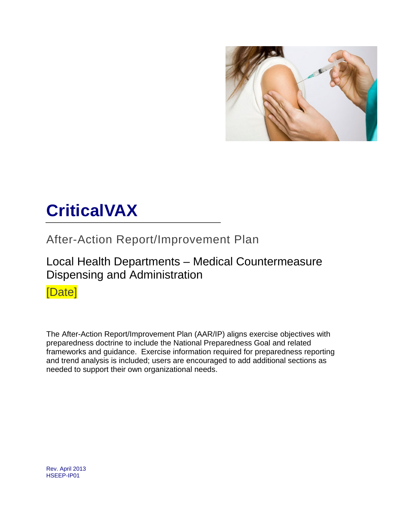

# **CriticalVAX**

After-Action Report/Improvement Plan

### Local Health Departments – Medical Countermeasure Dispensing and Administration

[Date]

The After-Action Report/Improvement Plan (AAR/IP) aligns exercise objectives with preparedness doctrine to include the National Preparedness Goal and related frameworks and guidance. Exercise information required for preparedness reporting and trend analysis is included; users are encouraged to add additional sections as needed to support their own organizational needs.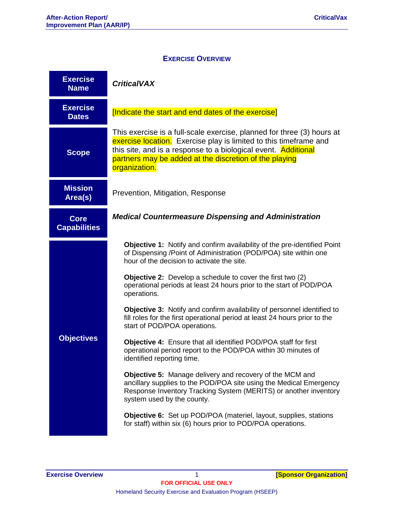#### **EXERCISE OVERVIEW**

| <b>Exercise</b><br><b>Name</b>     | <b>CriticalVAX</b>                                                                                                                                                                                                                                                                       |  |  |  |  |  |
|------------------------------------|------------------------------------------------------------------------------------------------------------------------------------------------------------------------------------------------------------------------------------------------------------------------------------------|--|--|--|--|--|
| <b>Exercise</b><br><b>Dates</b>    | [Indicate the start and end dates of the exercise]                                                                                                                                                                                                                                       |  |  |  |  |  |
| <b>Scope</b>                       | This exercise is a full-scale exercise, planned for three (3) hours at<br>exercise location. Exercise play is limited to this timeframe and<br>this site, and is a response to a biological event. Additional<br>partners may be added at the discretion of the playing<br>organization. |  |  |  |  |  |
| <b>Mission</b><br>Area(s)          | Prevention, Mitigation, Response                                                                                                                                                                                                                                                         |  |  |  |  |  |
| <b>Core</b><br><b>Capabilities</b> | <b>Medical Countermeasure Dispensing and Administration</b>                                                                                                                                                                                                                              |  |  |  |  |  |
|                                    | <b>Objective 1:</b> Notify and confirm availability of the pre-identified Point<br>of Dispensing /Point of Administration (POD/POA) site within one<br>hour of the decision to activate the site.                                                                                        |  |  |  |  |  |
|                                    | <b>Objective 2:</b> Develop a schedule to cover the first two (2)<br>operational periods at least 24 hours prior to the start of POD/POA<br>operations.                                                                                                                                  |  |  |  |  |  |
|                                    | <b>Objective 3:</b> Notify and confirm availability of personnel identified to<br>fill roles for the first operational period at least 24 hours prior to the<br>start of POD/POA operations.                                                                                             |  |  |  |  |  |
| <b>Objectives</b>                  | Objective 4: Ensure that all identified POD/POA staff for first<br>operational period report to the POD/POA within 30 minutes of<br>identified reporting time.                                                                                                                           |  |  |  |  |  |
|                                    | <b>Objective 5:</b> Manage delivery and recovery of the MCM and<br>ancillary supplies to the POD/POA site using the Medical Emergency<br>Response Inventory Tracking System (MERITS) or another inventory<br>system used by the county.                                                  |  |  |  |  |  |
|                                    | Objective 6: Set up POD/POA (materiel, layout, supplies, stations<br>for staff) within six (6) hours prior to POD/POA operations.                                                                                                                                                        |  |  |  |  |  |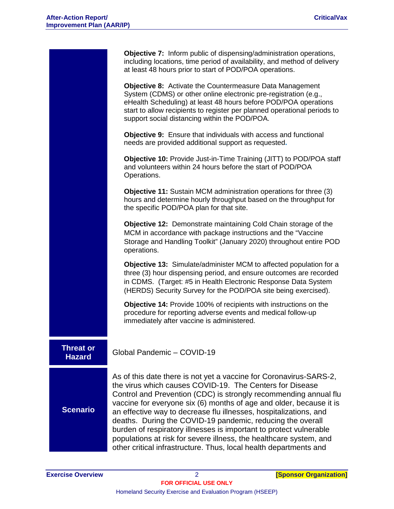|                            | <b>Objective 7:</b> Inform public of dispensing/administration operations,<br>including locations, time period of availability, and method of delivery<br>at least 48 hours prior to start of POD/POA operations.                                                                                                                                                                                                                                                                                                                                                                                                             |
|----------------------------|-------------------------------------------------------------------------------------------------------------------------------------------------------------------------------------------------------------------------------------------------------------------------------------------------------------------------------------------------------------------------------------------------------------------------------------------------------------------------------------------------------------------------------------------------------------------------------------------------------------------------------|
|                            | <b>Objective 8:</b> Activate the Countermeasure Data Management<br>System (CDMS) or other online electronic pre-registration (e.g.,<br>eHealth Scheduling) at least 48 hours before POD/POA operations<br>start to allow recipients to register per planned operational periods to<br>support social distancing within the POD/POA.                                                                                                                                                                                                                                                                                           |
|                            | Objective 9: Ensure that individuals with access and functional<br>needs are provided additional support as requested.                                                                                                                                                                                                                                                                                                                                                                                                                                                                                                        |
|                            | <b>Objective 10: Provide Just-in-Time Training (JITT) to POD/POA staff</b><br>and volunteers within 24 hours before the start of POD/POA<br>Operations.                                                                                                                                                                                                                                                                                                                                                                                                                                                                       |
|                            | <b>Objective 11:</b> Sustain MCM administration operations for three (3)<br>hours and determine hourly throughput based on the throughput for<br>the specific POD/POA plan for that site.                                                                                                                                                                                                                                                                                                                                                                                                                                     |
|                            | Objective 12: Demonstrate maintaining Cold Chain storage of the<br>MCM in accordance with package instructions and the "Vaccine<br>Storage and Handling Toolkit" (January 2020) throughout entire POD<br>operations.                                                                                                                                                                                                                                                                                                                                                                                                          |
|                            | Objective 13: Simulate/administer MCM to affected population for a<br>three (3) hour dispensing period, and ensure outcomes are recorded<br>in CDMS. (Target: #5 in Health Electronic Response Data System<br>(HERDS) Security Survey for the POD/POA site being exercised).                                                                                                                                                                                                                                                                                                                                                  |
|                            | Objective 14: Provide 100% of recipients with instructions on the<br>procedure for reporting adverse events and medical follow-up<br>immediately after vaccine is administered.                                                                                                                                                                                                                                                                                                                                                                                                                                               |
| Threat or<br><b>Hazard</b> | Global Pandemic - COVID-19                                                                                                                                                                                                                                                                                                                                                                                                                                                                                                                                                                                                    |
| <b>Scenario</b>            | As of this date there is not yet a vaccine for Coronavirus-SARS-2,<br>the virus which causes COVID-19. The Centers for Disease<br>Control and Prevention (CDC) is strongly recommending annual flu<br>vaccine for everyone six (6) months of age and older, because it is<br>an effective way to decrease flu illnesses, hospitalizations, and<br>deaths. During the COVID-19 pandemic, reducing the overall<br>burden of respiratory illnesses is important to protect vulnerable<br>populations at risk for severe illness, the healthcare system, and<br>other critical infrastructure. Thus, local health departments and |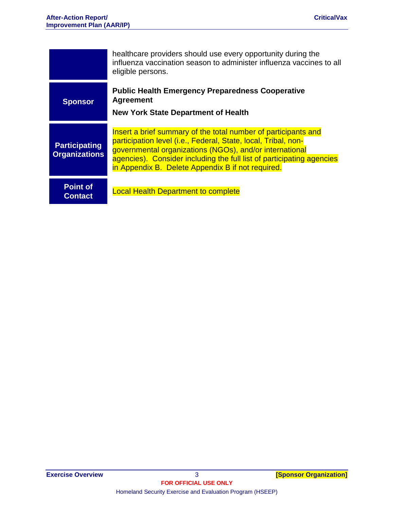|                                              | healthcare providers should use every opportunity during the<br>influenza vaccination season to administer influenza vaccines to all<br>eligible persons.                                                                                                                                                                 |
|----------------------------------------------|---------------------------------------------------------------------------------------------------------------------------------------------------------------------------------------------------------------------------------------------------------------------------------------------------------------------------|
| <b>Sponsor</b>                               | <b>Public Health Emergency Preparedness Cooperative</b><br><b>Agreement</b>                                                                                                                                                                                                                                               |
|                                              | <b>New York State Department of Health</b>                                                                                                                                                                                                                                                                                |
| <b>Participating</b><br><b>Organizations</b> | Insert a brief summary of the total number of participants and<br>participation level (i.e., Federal, State, local, Tribal, non-<br>governmental organizations (NGOs), and/or international<br>agencies). Consider including the full list of participating agencies<br>in Appendix B. Delete Appendix B if not required. |
| <b>Point of</b><br><b>Contact</b>            | <b>Local Health Department to complete</b>                                                                                                                                                                                                                                                                                |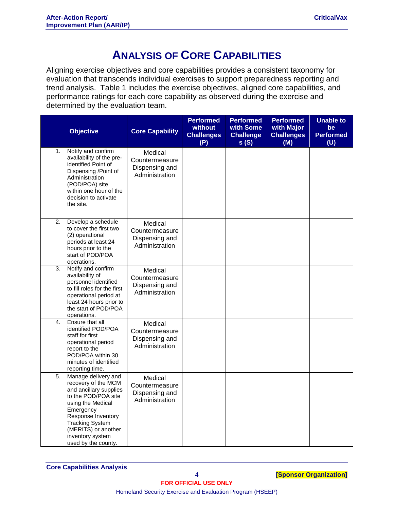### **ANALYSIS OF CORE CAPABILITIES**

Aligning exercise objectives and core capabilities provides a consistent taxonomy for evaluation that transcends individual exercises to support preparedness reporting and trend analysis. Table 1 includes the exercise objectives, aligned core capabilities, and performance ratings for each core capability as observed during the exercise and determined by the evaluation team.

|    | <b>Objective</b>                                                                                                                                                                                                                                | <b>Core Capability</b>                                        | <b>Performed</b><br>without<br><b>Challenges</b><br>(P) | <b>Performed</b><br>with Some<br><b>Challenge</b><br>s(S) | <b>Performed</b><br>with Major<br><b>Challenges</b><br>(M) | <b>Unable to</b><br>be<br><b>Performed</b><br>(U) |
|----|-------------------------------------------------------------------------------------------------------------------------------------------------------------------------------------------------------------------------------------------------|---------------------------------------------------------------|---------------------------------------------------------|-----------------------------------------------------------|------------------------------------------------------------|---------------------------------------------------|
| 1. | Notify and confirm<br>availability of the pre-<br>identified Point of<br>Dispensing /Point of<br>Administration<br>(POD/POA) site<br>within one hour of the<br>decision to activate<br>the site.                                                | Medical<br>Countermeasure<br>Dispensing and<br>Administration |                                                         |                                                           |                                                            |                                                   |
| 2. | Develop a schedule<br>to cover the first two<br>(2) operational<br>periods at least 24<br>hours prior to the<br>start of POD/POA<br>operations.                                                                                                 | Medical<br>Countermeasure<br>Dispensing and<br>Administration |                                                         |                                                           |                                                            |                                                   |
| 3. | Notify and confirm<br>availability of<br>personnel identified<br>to fill roles for the first<br>operational period at<br>least 24 hours prior to<br>the start of POD/POA<br>operations.                                                         | Medical<br>Countermeasure<br>Dispensing and<br>Administration |                                                         |                                                           |                                                            |                                                   |
| 4. | Ensure that all<br>identified POD/POA<br>staff for first<br>operational period<br>report to the<br>POD/POA within 30<br>minutes of identified<br>reporting time.                                                                                | Medical<br>Countermeasure<br>Dispensing and<br>Administration |                                                         |                                                           |                                                            |                                                   |
| 5. | Manage delivery and<br>recovery of the MCM<br>and ancillary supplies<br>to the POD/POA site<br>using the Medical<br>Emergency<br>Response Inventory<br><b>Tracking System</b><br>(MERITS) or another<br>inventory system<br>used by the county. | Medical<br>Countermeasure<br>Dispensing and<br>Administration |                                                         |                                                           |                                                            |                                                   |

4 **[Sponsor Organization]**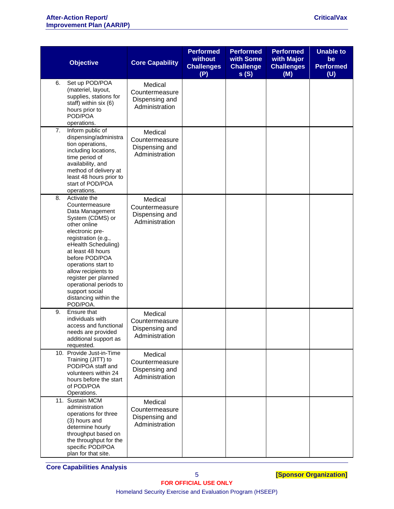|    | <b>Objective</b>                                                                                                                                                                                                                                                                                                                                     | <b>Core Capability</b>                                        | <b>Performed</b><br>without<br><b>Challenges</b><br>(P) | <b>Performed</b><br>with Some<br><b>Challenge</b><br>s(S) | <b>Performed</b><br>with Major<br><b>Challenges</b><br>(M) | <b>Unable to</b><br>be<br><b>Performed</b><br>(U) |
|----|------------------------------------------------------------------------------------------------------------------------------------------------------------------------------------------------------------------------------------------------------------------------------------------------------------------------------------------------------|---------------------------------------------------------------|---------------------------------------------------------|-----------------------------------------------------------|------------------------------------------------------------|---------------------------------------------------|
| 6. | Set up POD/POA<br>(materiel, layout,<br>supplies, stations for<br>staff) within six (6)<br>hours prior to<br>POD/POA<br>operations.                                                                                                                                                                                                                  | Medical<br>Countermeasure<br>Dispensing and<br>Administration |                                                         |                                                           |                                                            |                                                   |
| 7. | Inform public of<br>dispensing/administra<br>tion operations,<br>including locations,<br>time period of<br>availability, and<br>method of delivery at<br>least 48 hours prior to<br>start of POD/POA<br>operations.                                                                                                                                  | Medical<br>Countermeasure<br>Dispensing and<br>Administration |                                                         |                                                           |                                                            |                                                   |
| 8. | Activate the<br>Countermeasure<br>Data Management<br>System (CDMS) or<br>other online<br>electronic pre-<br>registration (e.g.,<br>eHealth Scheduling)<br>at least 48 hours<br>before POD/POA<br>operations start to<br>allow recipients to<br>register per planned<br>operational periods to<br>support social<br>distancing within the<br>POD/POA. | Medical<br>Countermeasure<br>Dispensing and<br>Administration |                                                         |                                                           |                                                            |                                                   |
| 9. | Ensure that<br>individuals with<br>access and functional<br>needs are provided<br>additional support as<br>requested.                                                                                                                                                                                                                                | Medical<br>Countermeasure<br>Dispensing and<br>Administration |                                                         |                                                           |                                                            |                                                   |
|    | 10. Provide Just-in-Time<br>Training (JITT) to<br>POD/POA staff and<br>volunteers within 24<br>hours before the start<br>of POD/POA<br>Operations.                                                                                                                                                                                                   | Medical<br>Countermeasure<br>Dispensing and<br>Administration |                                                         |                                                           |                                                            |                                                   |
|    | 11. Sustain MCM<br>administration<br>operations for three<br>(3) hours and<br>determine hourly<br>throughput based on<br>the throughput for the<br>specific POD/POA<br>plan for that site.                                                                                                                                                           | Medical<br>Countermeasure<br>Dispensing and<br>Administration |                                                         |                                                           |                                                            |                                                   |

**Core Capabilities Analysis**

Homeland Security Exercise and Evaluation Program (HSEEP)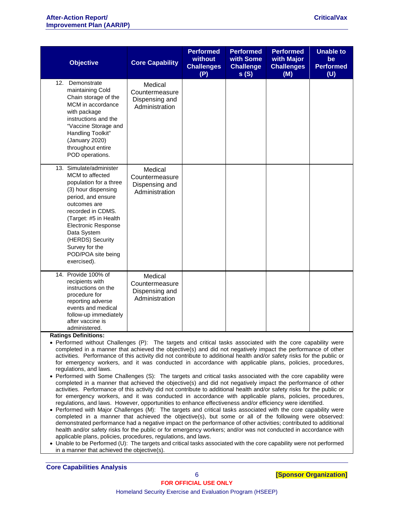| <b>Objective</b>                                                                                                                                                                                                                                                                                        | <b>Core Capability</b>                                        | <b>Performed</b><br>without<br><b>Challenges</b><br>(P) | <b>Performed</b><br>with Some<br><b>Challenge</b><br>s(S) | <b>Performed</b><br>with Major<br><b>Challenges</b><br>(M) | <b>Unable to</b><br>be<br><b>Performed</b><br>(U) |
|---------------------------------------------------------------------------------------------------------------------------------------------------------------------------------------------------------------------------------------------------------------------------------------------------------|---------------------------------------------------------------|---------------------------------------------------------|-----------------------------------------------------------|------------------------------------------------------------|---------------------------------------------------|
| 12.<br>Demonstrate<br>maintaining Cold<br>Chain storage of the<br>MCM in accordance<br>with package<br>instructions and the<br>"Vaccine Storage and<br>Handling Toolkit"<br>(January 2020)<br>throughout entire<br>POD operations.                                                                      | Medical<br>Countermeasure<br>Dispensing and<br>Administration |                                                         |                                                           |                                                            |                                                   |
| 13. Simulate/administer<br>MCM to affected<br>population for a three<br>(3) hour dispensing<br>period, and ensure<br>outcomes are<br>recorded in CDMS.<br>(Target: #5 in Health<br><b>Electronic Response</b><br>Data System<br>(HERDS) Security<br>Survey for the<br>POD/POA site being<br>exercised). | Medical<br>Countermeasure<br>Dispensing and<br>Administration |                                                         |                                                           |                                                            |                                                   |
| 14. Provide 100% of<br>recipients with<br>instructions on the<br>procedure for<br>reporting adverse<br>events and medical<br>follow-up immediately<br>after vaccine is<br>administered.                                                                                                                 | Medical<br>Countermeasure<br>Dispensing and<br>Administration |                                                         |                                                           |                                                            |                                                   |

#### **Ratings Definitions:**

- Performed without Challenges (P): The targets and critical tasks associated with the core capability were completed in a manner that achieved the objective(s) and did not negatively impact the performance of other activities. Performance of this activity did not contribute to additional health and/or safety risks for the public or for emergency workers, and it was conducted in accordance with applicable plans, policies, procedures, regulations, and laws.
- Performed with Some Challenges (S): The targets and critical tasks associated with the core capability were completed in a manner that achieved the objective(s) and did not negatively impact the performance of other activities. Performance of this activity did not contribute to additional health and/or safety risks for the public or for emergency workers, and it was conducted in accordance with applicable plans, policies, procedures, regulations, and laws. However, opportunities to enhance effectiveness and/or efficiency were identified.
- Performed with Major Challenges (M): The targets and critical tasks associated with the core capability were completed in a manner that achieved the objective(s), but some or all of the following were observed: demonstrated performance had a negative impact on the performance of other activities; contributed to additional health and/or safety risks for the public or for emergency workers; and/or was not conducted in accordance with applicable plans, policies, procedures, regulations, and laws.
- Unable to be Performed (U): The targets and critical tasks associated with the core capability were not performed in a manner that achieved the objective(s).

**Core Capabilities Analysis**

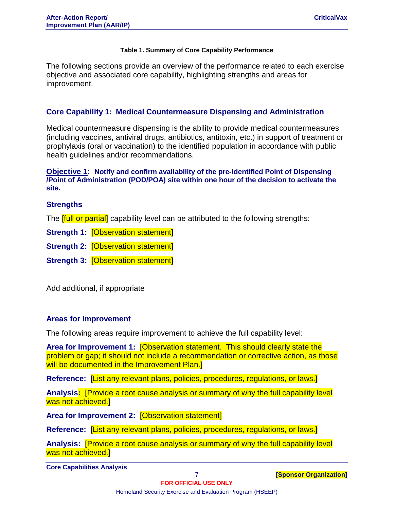#### **Table 1. Summary of Core Capability Performance**

The following sections provide an overview of the performance related to each exercise objective and associated core capability, highlighting strengths and areas for improvement.

### **Core Capability 1: Medical Countermeasure Dispensing and Administration**

Medical countermeasure dispensing is the ability to provide medical countermeasures (including vaccines, antiviral drugs, antibiotics, antitoxin, etc.) in support of treatment or prophylaxis (oral or vaccination) to the identified population in accordance with public health guidelines and/or recommendations.

#### **Objective 1: Notify and confirm availability of the pre-identified Point of Dispensing /Point of Administration (POD/POA) site within one hour of the decision to activate the site.**

#### **Strengths**

The **[full or partial]** capability level can be attributed to the following strengths:

**Strength 1:** [Observation statement]

**Strength 2:** [Observation statement]

**Strength 3:** [Observation statement]

Add additional, if appropriate

#### **Areas for Improvement**

The following areas require improvement to achieve the full capability level:

**Area for Improvement 1:** [Observation statement. This should clearly state the problem or gap; it should not include a recommendation or corrective action, as those will be documented in the Improvement Plan.]

**Reference:** [List any relevant plans, policies, procedures, regulations, or laws.]

**Analysis:** [Provide a root cause analysis or summary of why the full capability level was not achieved.]

**Area for Improvement 2:** [Observation statement]

**Reference:** [List any relevant plans, policies, procedures, regulations, or laws.]

**Analysis:** [Provide a root cause analysis or summary of why the full capability level was not achieved.]

**Core Capabilities Analysis**

7 **[Sponsor Organization]**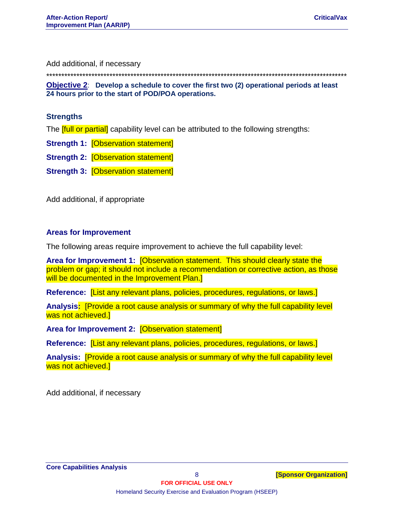Add additional, if necessary

\*\*\*\*\*\*\*\*\*\*\*\*\*\*\*\*\*\*\*\*\*\*\*\*\*\*\*\*\*\*\*\*\*\*\*\*\*\*\*\*\*\*\*\*\*\*\*\*\*\*\*\*\*\*\*\*\*\*\*\*\*\*\*\*\*\*\*\*\*\*\*\*\*\*\*\*\*\*\*\*\*\*\*\*\*\*\*\*\*\*\*\*\*\*\*\*\*\*\*\*

**Objective 2**: **Develop a schedule to cover the first two (2) operational periods at least 24 hours prior to the start of POD/POA operations.**

#### **Strengths**

The **[full or partial]** capability level can be attributed to the following strengths:

**Strength 1:** [Observation statement]

**Strength 2:** [Observation statement]

**Strength 3:** [Observation statement]

Add additional, if appropriate

#### **Areas for Improvement**

The following areas require improvement to achieve the full capability level:

**Area for Improvement 1:** [Observation statement. This should clearly state the problem or gap; it should not include a recommendation or corrective action, as those will be documented in the Improvement Plan.]

**Reference:** [List any relevant plans, policies, procedures, regulations, or laws.]

**Analysis:** [Provide a root cause analysis or summary of why the full capability level was not achieved.]

**Area for Improvement 2:** [Observation statement]

**Reference:** [List any relevant plans, policies, procedures, regulations, or laws.]

**Analysis:** [Provide a root cause analysis or summary of why the full capability level was not achieved.]

Add additional, if necessary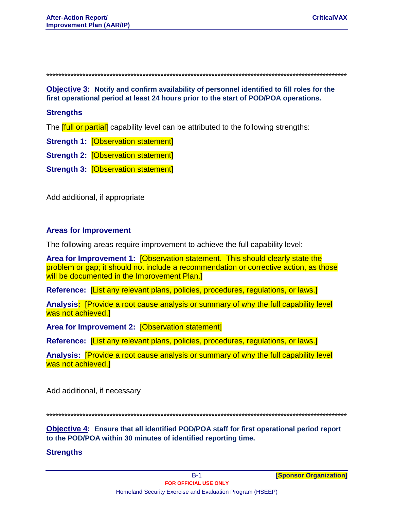Objective 3: Notify and confirm availability of personnel identified to fill roles for the first operational period at least 24 hours prior to the start of POD/POA operations.

#### **Strengths**

The **full or partial** capability level can be attributed to the following strengths:

**Strength 1: [Observation statement]** 

**Strength 2: [Observation statement]** 

**Strength 3: [Observation statement]** 

Add additional, if appropriate

#### **Areas for Improvement**

The following areas require improvement to achieve the full capability level:

Area for Improvement 1: [Observation statement. This should clearly state the problem or gap; it should not include a recommendation or corrective action, as those will be documented in the Improvement Plan.]

Reference: *[List any relevant plans, policies, procedures, regulations, or laws.]* 

Analysis: [Provide a root cause analysis or summary of why the full capability level was not achieved.]

Area for Improvement 2: [Observation statement]

Reference: [List any relevant plans, policies, procedures, regulations, or laws.]

Analysis: [Provide a root cause analysis or summary of why the full capability level was not achieved.]

Add additional, if necessary

\*\*\*\*\*\*\*\*\*\*\*\*\*\*\*\*\*\*\*\*\*\*\*\*\*\*\*\*\*\*\*\*\*\*\*\*\*\*

Objective 4: Ensure that all identified POD/POA staff for first operational period report to the POD/POA within 30 minutes of identified reporting time.

#### **Strengths**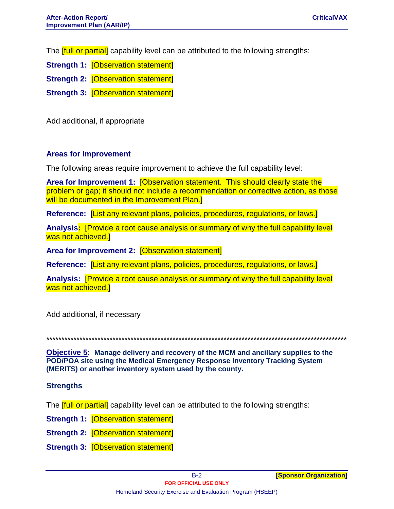The **ffull or partial** capability level can be attributed to the following strengths:

- **Strength 1: [Observation statement]**
- **Strength 2: [Observation statement]**
- **Strength 3: [Observation statement]**

Add additional, if appropriate

### **Areas for Improvement**

The following areas require improvement to achieve the full capability level:

Area for Improvement 1: [Observation statement. This should clearly state the problem or gap; it should not include a recommendation or corrective action, as those will be documented in the Improvement Plan.]

Reference: *[List any relevant plans, policies, procedures, requiations, or laws.]* 

Analysis: [Provide a root cause analysis or summary of why the full capability level was not achieved.]

Area for Improvement 2: [Observation statement]

Reference: [List any relevant plans, policies, procedures, regulations, or laws.]

Analysis: Provide a root cause analysis or summary of why the full capability level was not achieved.

Add additional, if necessary

**Objective 5:** Manage delivery and recovery of the MCM and ancillary supplies to the POD/POA site using the Medical Emergency Response Inventory Tracking System (MERITS) or another inventory system used by the county.

#### **Strengths**

The **full or partial** capability level can be attributed to the following strengths:

- **Strength 1: [Observation statement]**
- **Strength 2: [Observation statement]**
- **Strength 3: [Observation statement]**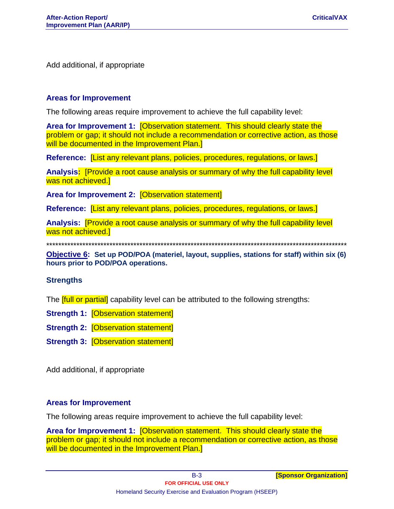Add additional, if appropriate

#### **Areas for Improvement**

The following areas require improvement to achieve the full capability level:

Area for Improvement 1: [Observation statement. This should clearly state the problem or gap; it should not include a recommendation or corrective action, as those will be documented in the Improvement Plan.]

Reference: *[List any relevant plans, policies, procedures, regulations, or laws.]* 

Analysis: Provide a root cause analysis or summary of why the full capability level was not achieved.]

Area for Improvement 2: [Observation statement]

Reference: [List any relevant plans, policies, procedures, regulations, or laws.]

Analysis: **[Provide a root cause analysis or summary of why the full capability level** was not achieved.]

Objective 6: Set up POD/POA (materiel, layout, supplies, stations for staff) within six (6) hours prior to POD/POA operations.

#### **Strengths**

The **full or partial** capability level can be attributed to the following strengths:

**Strength 1: [Observation statement]** 

**Strength 2: [Observation statement]** 

**Strength 3: [Observation statement]** 

Add additional, if appropriate

#### **Areas for Improvement**

The following areas require improvement to achieve the full capability level:

Area for Improvement 1: [Observation statement. This should clearly state the problem or gap; it should not include a recommendation or corrective action, as those will be documented in the Improvement Plan.]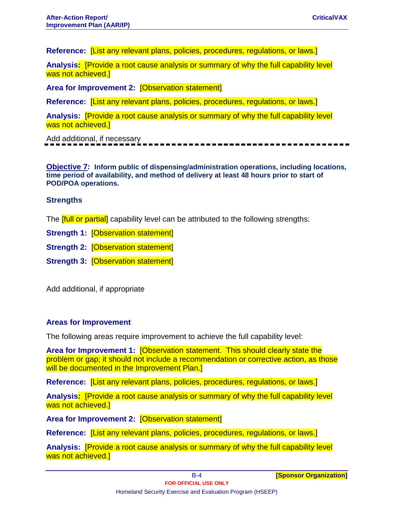**Reference:** [List any relevant plans, policies, procedures, regulations, or laws.]

**Analysis:** [Provide a root cause analysis or summary of why the full capability level was not achieved.]

**Area for Improvement 2:** [Observation statement]

**Reference:** [List any relevant plans, policies, procedures, regulations, or laws.]

**Analysis:** [Provide a root cause analysis or summary of why the full capability level was not achieved.

Add additional, if necessary

**Objective 7: Inform public of dispensing/administration operations, including locations, time period of availability, and method of delivery at least 48 hours prior to start of POD/POA operations.**

#### **Strengths**

The **[full or partial]** capability level can be attributed to the following strengths:

**Strength 1:** [Observation statement]

**Strength 2:** [Observation statement]

**Strength 3:** [Observation statement]

Add additional, if appropriate

#### **Areas for Improvement**

The following areas require improvement to achieve the full capability level:

**Area for Improvement 1:** [Observation statement. This should clearly state the problem or gap; it should not include a recommendation or corrective action, as those will be documented in the Improvement Plan.]

**Reference:** [List any relevant plans, policies, procedures, regulations, or laws.]

**Analysis:** [Provide a root cause analysis or summary of why the full capability level was not achieved.

**Area for Improvement 2:** [Observation statement]

**Reference:** [List any relevant plans, policies, procedures, regulations, or laws.]

**Analysis:** [Provide a root cause analysis or summary of why the full capability level was not achieved.]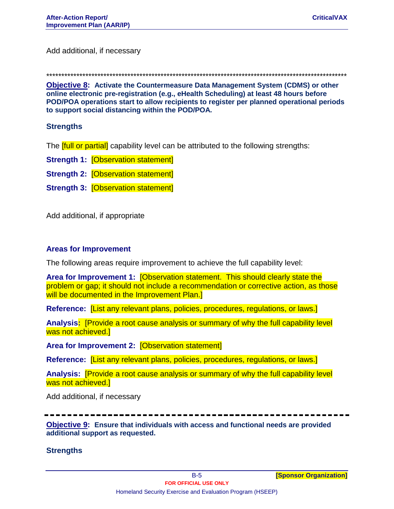Add additional, if necessary

\*\*\*\*\*\*\*\*\*\*\*\*\*\*\*\*\*\*\*\*\*\*\*\*\*\*\*\*\*\*\*\*\*\*\*\*\*\*\*\*\*\*\*\*\*\*\*\*\*\*\*\*\*\*\*\*\*\*\*\*\*\*\*\*\*\*\*\*\*\*\*\*\*\*\*\*\*\*\*\*\*\*\*\*\*\*\*\*\*\*\*\*\*\*\*\*\*\*\*\*

**Objective 8: Activate the Countermeasure Data Management System (CDMS) or other online electronic pre-registration (e.g., eHealth Scheduling) at least 48 hours before POD/POA operations start to allow recipients to register per planned operational periods to support social distancing within the POD/POA.**

#### **Strengths**

The **[full or partial]** capability level can be attributed to the following strengths:

- **Strength 1: [Observation statement]**
- **Strength 2: [Observation statement]**
- **Strength 3:** [Observation statement]

Add additional, if appropriate

#### **Areas for Improvement**

The following areas require improvement to achieve the full capability level:

**Area for Improvement 1:** [Observation statement. This should clearly state the problem or gap; it should not include a recommendation or corrective action, as those will be documented in the Improvement Plan.]

**Reference:** [List any relevant plans, policies, procedures, regulations, or laws.]

**Analysis:** [Provide a root cause analysis or summary of why the full capability level was not achieved.]

**Area for Improvement 2:** [Observation statement]

**Reference:** [List any relevant plans, policies, procedures, regulations, or laws.]

**Analysis:** [Provide a root cause analysis or summary of why the full capability level was not achieved.]

Add additional, if necessary

**Objective 9: Ensure that individuals with access and functional needs are provided additional support as requested.**

#### **Strengths**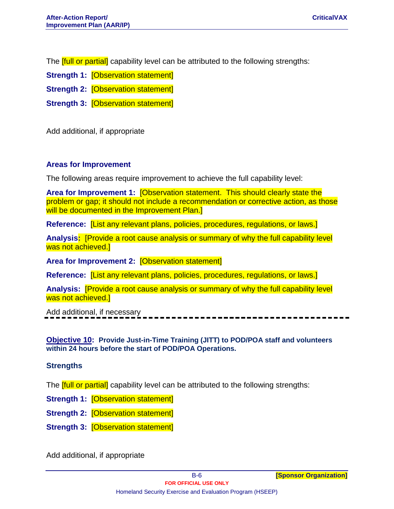The **[full or partial]** capability level can be attributed to the following strengths:

**Strength 1:** [Observation statement]

**Strength 2: [Observation statement]** 

**Strength 3:** [Observation statement]

Add additional, if appropriate

#### **Areas for Improvement**

The following areas require improvement to achieve the full capability level:

**Area for Improvement 1:** [Observation statement. This should clearly state the problem or gap; it should not include a recommendation or corrective action, as those will be documented in the Improvement Plan.]

**Reference:** [List any relevant plans, policies, procedures, regulations, or laws.]

**Analysis:** [Provide a root cause analysis or summary of why the full capability level was not achieved.]

**Area for Improvement 2:** [Observation statement]

**Reference:** [List any relevant plans, policies, procedures, regulations, or laws.]

**Analysis:** [Provide a root cause analysis or summary of why the full capability level was not achieved.]

Add additional, if necessary

**Objective 10: Provide Just-in-Time Training (JITT) to POD/POA staff and volunteers within 24 hours before the start of POD/POA Operations.**

#### **Strengths**

The **[full or partial]** capability level can be attributed to the following strengths:

**Strength 1:** [Observation statement]

**Strength 2:** [Observation statement]

**Strength 3:** [Observation statement]

Add additional, if appropriate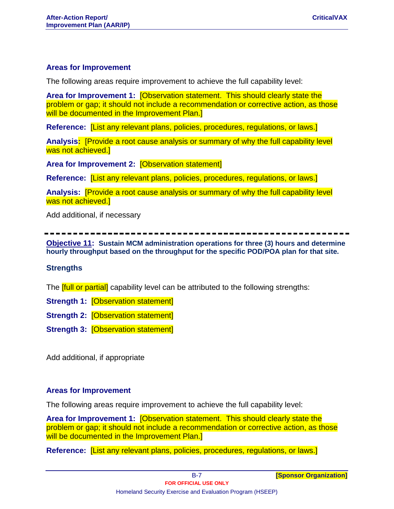#### **Areas for Improvement**

The following areas require improvement to achieve the full capability level:

**Area for Improvement 1:** [Observation statement. This should clearly state the problem or gap; it should not include a recommendation or corrective action, as those will be documented in the Improvement Plan.]

**Reference:** [List any relevant plans, policies, procedures, regulations, or laws.]

**Analysis:** [Provide a root cause analysis or summary of why the full capability level was not achieved.]

**Area for Improvement 2:** [Observation statement]

**Reference:** [List any relevant plans, policies, procedures, regulations, or laws.]

**Analysis:** [Provide a root cause analysis or summary of why the full capability level was not achieved.]

Add additional, if necessary

**Objective 11: Sustain MCM administration operations for three (3) hours and determine hourly throughput based on the throughput for the specific POD/POA plan for that site.**

#### **Strengths**

The **[full or partial]** capability level can be attributed to the following strengths:

**Strength 1:** [Observation statement]

**Strength 2: [Observation statement]** 

**Strength 3:** [Observation statement]

Add additional, if appropriate

#### **Areas for Improvement**

The following areas require improvement to achieve the full capability level:

**Area for Improvement 1:** [Observation statement. This should clearly state the problem or gap; it should not include a recommendation or corrective action, as those will be documented in the Improvement Plan.]

**Reference:** [List any relevant plans, policies, procedures, regulations, or laws.]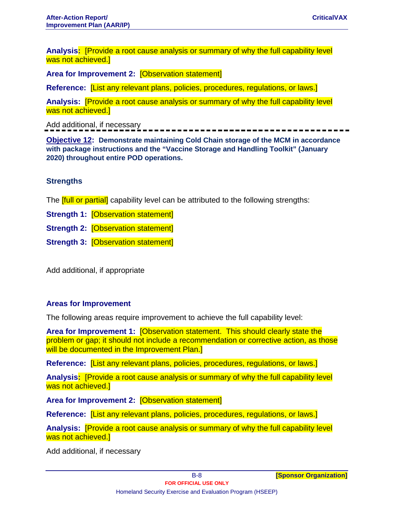**Analysis:** [Provide a root cause analysis or summary of why the full capability level was not achieved.

**Area for Improvement 2:** [Observation statement]

**Reference:** [List any relevant plans, policies, procedures, regulations, or laws.]

**Analysis:** [Provide a root cause analysis or summary of why the full capability level was not achieved.

Add additional, if necessary

**Objective 12: Demonstrate maintaining Cold Chain storage of the MCM in accordance with package instructions and the "Vaccine Storage and Handling Toolkit" (January 2020) throughout entire POD operations.**

### **Strengths**

The **[full or partial]** capability level can be attributed to the following strengths:

**Strength 1:** [Observation statement]

**Strength 2:** [Observation statement]

**Strength 3:** [Observation statement]

Add additional, if appropriate

#### **Areas for Improvement**

The following areas require improvement to achieve the full capability level:

**Area for Improvement 1:** [Observation statement. This should clearly state the problem or gap; it should not include a recommendation or corrective action, as those will be documented in the Improvement Plan.]

**Reference:** [List any relevant plans, policies, procedures, regulations, or laws.]

**Analysis:** [Provide a root cause analysis or summary of why the full capability level was not achieved.]

**Area for Improvement 2:** [Observation statement]

**Reference:** [List any relevant plans, policies, procedures, regulations, or laws.]

**Analysis:** [Provide a root cause analysis or summary of why the full capability level was not achieved.]

Add additional, if necessary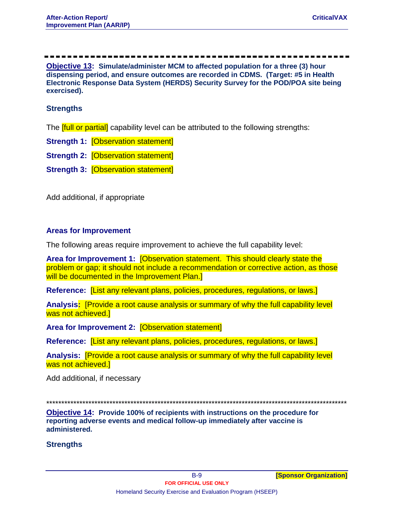**Objective 13: Simulate/administer MCM to affected population for a three (3) hour dispensing period, and ensure outcomes are recorded in CDMS. (Target: #5 in Health Electronic Response Data System (HERDS) Security Survey for the POD/POA site being exercised).**

### **Strengths**

The **[full or partial]** capability level can be attributed to the following strengths:

**Strength 1:** [Observation statement]

**Strength 2:** [Observation statement]

**Strength 3: [Observation statement]** 

Add additional, if appropriate

#### **Areas for Improvement**

The following areas require improvement to achieve the full capability level:

**Area for Improvement 1:** [Observation statement. This should clearly state the problem or gap; it should not include a recommendation or corrective action, as those will be documented in the Improvement Plan.

**Reference:** [List any relevant plans, policies, procedures, regulations, or laws.]

**Analysis:** [Provide a root cause analysis or summary of why the full capability level was not achieved.]

**Area for Improvement 2:** [Observation statement]

**Reference:** [List any relevant plans, policies, procedures, regulations, or laws.]

**Analysis:** [Provide a root cause analysis or summary of why the full capability level was not achieved.]

Add additional, if necessary

\*\*\*\*\*\*\*\*\*\*\*\*\*\*\*\*\*\*\*\*\*\*\*\*\*\*\*\*\*\*\*\*\*\*\*\*\*\*\*\*\*\*\*\*\*\*\*\*\*\*\*\*\*\*\*\*\*\*\*\*\*\*\*\*\*\*\*\*\*\*\*\*\*\*\*\*\*\*\*\*\*\*\*\*\*\*\*\*\*\*\*\*\*\*\*\*\*\*\*\*

**Objective 14: Provide 100% of recipients with instructions on the procedure for reporting adverse events and medical follow-up immediately after vaccine is administered.**

#### **Strengths**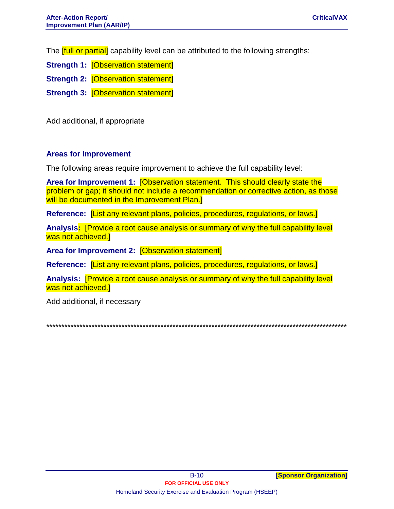The **ffull or partial** capability level can be attributed to the following strengths:

- **Strength 1: [Observation statement]**
- **Strength 2: [Observation statement]**
- **Strength 3: [Observation statement]**

Add additional, if appropriate

### **Areas for Improvement**

The following areas require improvement to achieve the full capability level:

Area for Improvement 1: [Observation statement. This should clearly state the problem or gap; it should not include a recommendation or corrective action, as those will be documented in the Improvement Plan.]

Reference: *[List any relevant plans, policies, procedures, regulations, or laws.]* 

Analysis: [Provide a root cause analysis or summary of why the full capability level was not achieved.]

Area for Improvement 2: [Observation statement]

Reference: [List any relevant plans, policies, procedures, regulations, or laws.]

Analysis: Provide a root cause analysis or summary of why the full capability level was not achieved.]

Add additional, if necessary

•••••••••••••••••••••••••••<del>•</del>•<del>•</del>•<del>•</del>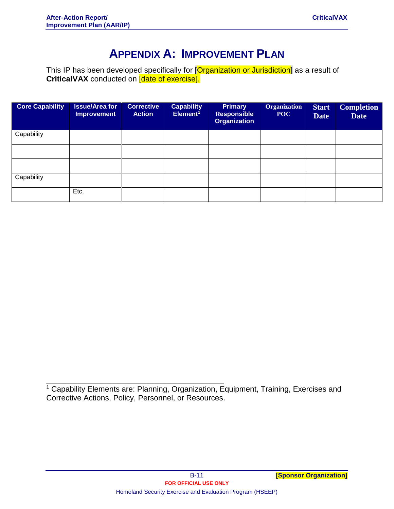### **APPENDIX A: IMPROVEMENT PLAN**

This IP has been developed specifically for [<mark>Organization or Jurisdiction</mark>] as a result of **CriticalVAX** conducted on [date of exercise].

| <b>Core Capability</b> | <b>Issue/Area for</b><br><b>Improvement</b> | <b>Corrective</b><br><b>Action</b> | <b>Capability</b><br>Element <sup>1</sup> | <b>Primary</b><br><b>Responsible</b><br><b>Organization</b> | <b>Organization</b><br>POC | <b>Start</b><br><b>Date</b> | <b>Completion</b><br><b>Date</b> |
|------------------------|---------------------------------------------|------------------------------------|-------------------------------------------|-------------------------------------------------------------|----------------------------|-----------------------------|----------------------------------|
| Capability             |                                             |                                    |                                           |                                                             |                            |                             |                                  |
|                        |                                             |                                    |                                           |                                                             |                            |                             |                                  |
|                        |                                             |                                    |                                           |                                                             |                            |                             |                                  |
| Capability             |                                             |                                    |                                           |                                                             |                            |                             |                                  |
|                        | Etc.                                        |                                    |                                           |                                                             |                            |                             |                                  |

<sup>1</sup> Capability Elements are: Planning, Organization, Equipment, Training, Exercises and Corrective Actions, Policy, Personnel, or Resources.

\_\_\_\_\_\_\_\_\_\_\_\_\_\_\_\_\_\_\_\_\_\_\_\_\_\_\_\_\_\_\_\_\_\_\_\_\_\_\_\_\_\_\_\_\_\_